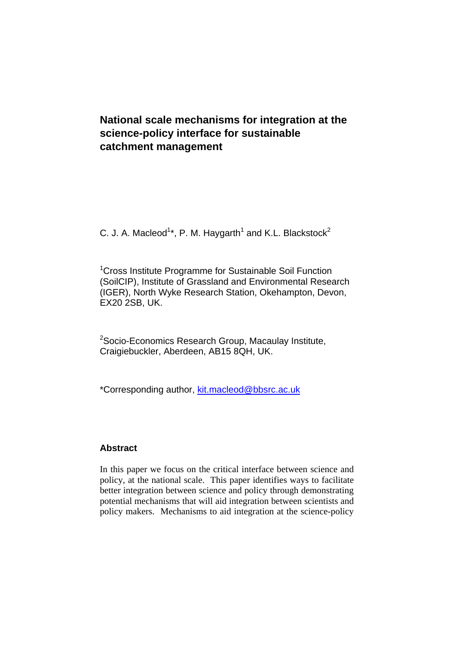# **National scale mechanisms for integration at the science-policy interface for sustainable catchment management**

C. J. A. Macleod<sup>1\*</sup>, P. M. Haygarth<sup>1</sup> and K.L. Blackstock<sup>2</sup>

<sup>1</sup> Cross Institute Programme for Sustainable Soil Function (SoilCIP), Institute of Grassland and Environmental Research (IGER), North Wyke Research Station, Okehampton, Devon, EX20 2SB, UK.

<sup>2</sup>Socio-Economics Research Group, Macaulay Institute, Craigiebuckler, Aberdeen, AB15 8QH, UK.

\*Corresponding author, [kit.macleod@bbsrc.ac.uk](mailto:kit.macleod@bbsrc.ac.uk)

## **Abstract**

In this paper we focus on the critical interface between science and policy, at the national scale. This paper identifies ways to facilitate better integration between science and policy through demonstrating potential mechanisms that will aid integration between scientists and policy makers. Mechanisms to aid integration at the science-policy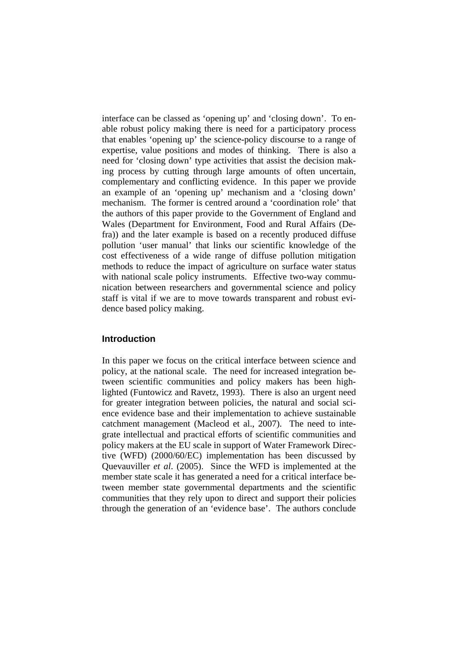interface can be classed as 'opening up' and 'closing down'. To enable robust policy making there is need for a participatory process that enables 'opening up' the science-policy discourse to a range of expertise, value positions and modes of thinking. There is also a need for 'closing down' type activities that assist the decision making process by cutting through large amounts of often uncertain, complementary and conflicting evidence. In this paper we provide an example of an 'opening up' mechanism and a 'closing down' mechanism. The former is centred around a 'coordination role' that the authors of this paper provide to the Government of England and Wales (Department for Environment, Food and Rural Affairs (Defra)) and the later example is based on a recently produced diffuse pollution 'user manual' that links our scientific knowledge of the cost effectiveness of a wide range of diffuse pollution mitigation methods to reduce the impact of agriculture on surface water status with national scale policy instruments. Effective two-way communication between researchers and governmental science and policy staff is vital if we are to move towards transparent and robust evidence based policy making.

#### **Introduction**

In this paper we focus on the critical interface between science and policy, at the national scale. The need for increased integration between scientific communities and policy makers has been highlighted (Funtowicz and Ravetz, 1993). There is also an urgent need for greater integration between policies, the natural and social science evidence base and their implementation to achieve sustainable catchment management (Macleod et al., 2007). The need to integrate intellectual and practical efforts of scientific communities and policy makers at the EU scale in support of Water Framework Directive (WFD) (2000/60/EC) implementation has been discussed by Quevauviller *et al*. (2005). Since the WFD is implemented at the member state scale it has generated a need for a critical interface between member state governmental departments and the scientific communities that they rely upon to direct and support their policies through the generation of an 'evidence base'. The authors conclude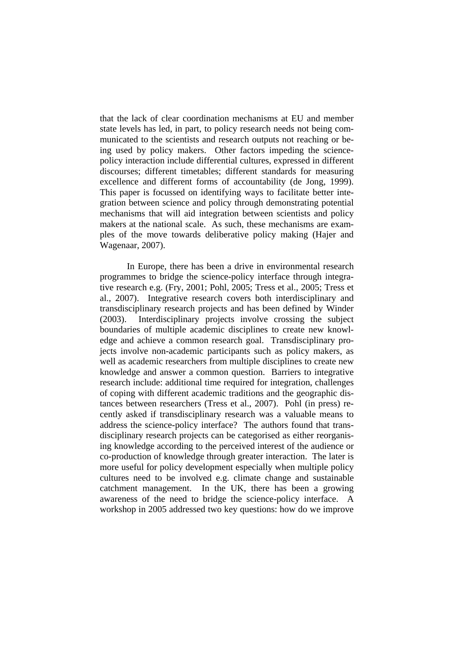that the lack of clear coordination mechanisms at EU and member state levels has led, in part, to policy research needs not being communicated to the scientists and research outputs not reaching or being used by policy makers. Other factors impeding the sciencepolicy interaction include differential cultures, expressed in different discourses; different timetables; different standards for measuring excellence and different forms of accountability (de Jong, 1999). This paper is focussed on identifying ways to facilitate better integration between science and policy through demonstrating potential mechanisms that will aid integration between scientists and policy makers at the national scale. As such, these mechanisms are examples of the move towards deliberative policy making (Hajer and Wagenaar, 2007).

In Europe, there has been a drive in environmental research programmes to bridge the science-policy interface through integrative research e.g. (Fry, 2001; Pohl, 2005; Tress et al., 2005; Tress et al., 2007). Integrative research covers both interdisciplinary and transdisciplinary research projects and has been defined by Winder (2003). Interdisciplinary projects involve crossing the subject boundaries of multiple academic disciplines to create new knowledge and achieve a common research goal. Transdisciplinary projects involve non-academic participants such as policy makers, as well as academic researchers from multiple disciplines to create new knowledge and answer a common question. Barriers to integrative research include: additional time required for integration, challenges of coping with different academic traditions and the geographic distances between researchers (Tress et al., 2007). Pohl (in press) recently asked if transdisciplinary research was a valuable means to address the science-policy interface? The authors found that transdisciplinary research projects can be categorised as either reorganising knowledge according to the perceived interest of the audience or co-production of knowledge through greater interaction. The later is more useful for policy development especially when multiple policy cultures need to be involved e.g. climate change and sustainable catchment management. In the UK, there has been a growing awareness of the need to bridge the science-policy interface. A workshop in 2005 addressed two key questions: how do we improve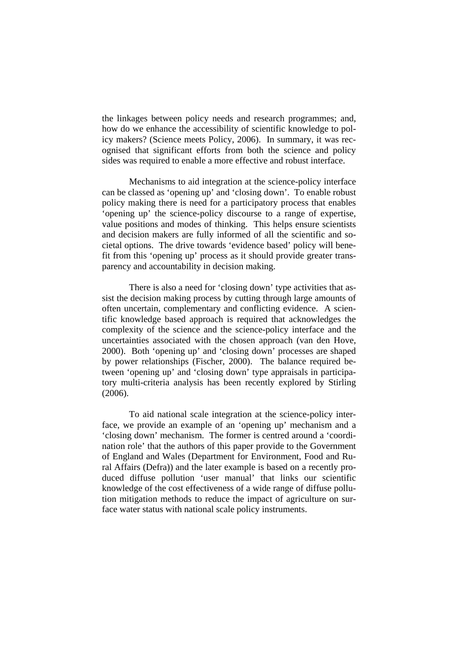the linkages between policy needs and research programmes; and, how do we enhance the accessibility of scientific knowledge to policy makers? (Science meets Policy, 2006). In summary, it was recognised that significant efforts from both the science and policy sides was required to enable a more effective and robust interface.

Mechanisms to aid integration at the science-policy interface can be classed as 'opening up' and 'closing down'. To enable robust policy making there is need for a participatory process that enables 'opening up' the science-policy discourse to a range of expertise, value positions and modes of thinking. This helps ensure scientists and decision makers are fully informed of all the scientific and societal options. The drive towards 'evidence based' policy will benefit from this 'opening up' process as it should provide greater transparency and accountability in decision making.

There is also a need for 'closing down' type activities that assist the decision making process by cutting through large amounts of often uncertain, complementary and conflicting evidence. A scientific knowledge based approach is required that acknowledges the complexity of the science and the science-policy interface and the uncertainties associated with the chosen approach (van den Hove, 2000). Both 'opening up' and 'closing down' processes are shaped by power relationships (Fischer, 2000). The balance required between 'opening up' and 'closing down' type appraisals in participatory multi-criteria analysis has been recently explored by Stirling (2006).

To aid national scale integration at the science-policy interface, we provide an example of an 'opening up' mechanism and a 'closing down' mechanism. The former is centred around a 'coordination role' that the authors of this paper provide to the Government of England and Wales (Department for Environment, Food and Rural Affairs (Defra)) and the later example is based on a recently produced diffuse pollution 'user manual' that links our scientific knowledge of the cost effectiveness of a wide range of diffuse pollution mitigation methods to reduce the impact of agriculture on surface water status with national scale policy instruments.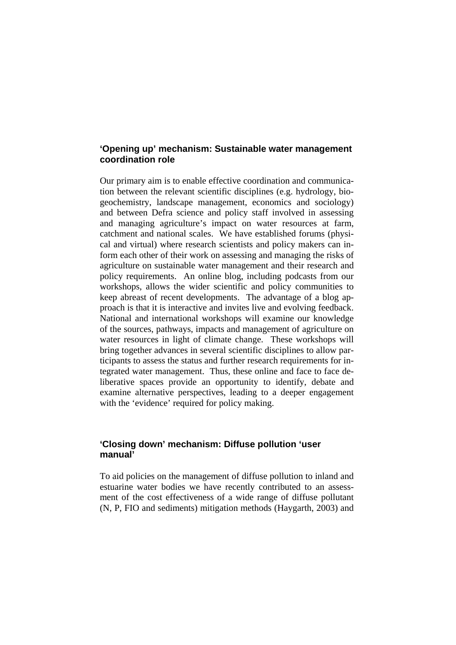#### **'Opening up' mechanism: Sustainable water management coordination role**

Our primary aim is to enable effective coordination and communication between the relevant scientific disciplines (e.g. hydrology, biogeochemistry, landscape management, economics and sociology) and between Defra science and policy staff involved in assessing and managing agriculture's impact on water resources at farm, catchment and national scales. We have established forums (physical and virtual) where research scientists and policy makers can inform each other of their work on assessing and managing the risks of agriculture on sustainable water management and their research and policy requirements. An online blog, including podcasts from our workshops, allows the wider scientific and policy communities to keep abreast of recent developments. The advantage of a blog approach is that it is interactive and invites live and evolving feedback. National and international workshops will examine our knowledge of the sources, pathways, impacts and management of agriculture on water resources in light of climate change. These workshops will bring together advances in several scientific disciplines to allow participants to assess the status and further research requirements for integrated water management. Thus, these online and face to face deliberative spaces provide an opportunity to identify, debate and examine alternative perspectives, leading to a deeper engagement with the 'evidence' required for policy making.

### **'Closing down' mechanism: Diffuse pollution 'user manual'**

To aid policies on the management of diffuse pollution to inland and estuarine water bodies we have recently contributed to an assessment of the cost effectiveness of a wide range of diffuse pollutant (N, P, FIO and sediments) mitigation methods (Haygarth, 2003) and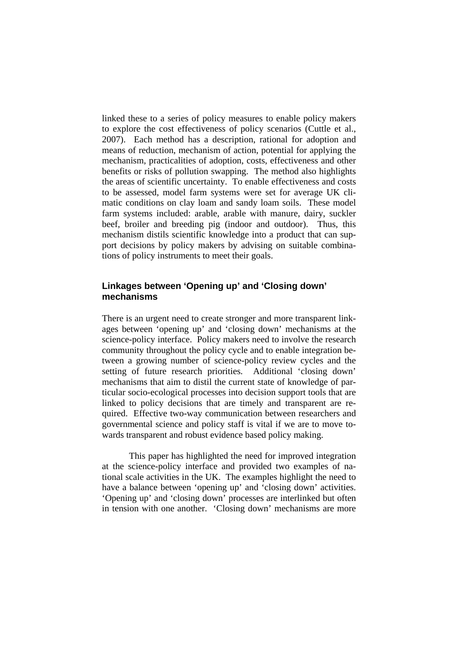linked these to a series of policy measures to enable policy makers to explore the cost effectiveness of policy scenarios (Cuttle et al., 2007). Each method has a description, rational for adoption and means of reduction, mechanism of action, potential for applying the mechanism, practicalities of adoption, costs, effectiveness and other benefits or risks of pollution swapping. The method also highlights the areas of scientific uncertainty. To enable effectiveness and costs to be assessed, model farm systems were set for average UK climatic conditions on clay loam and sandy loam soils. These model farm systems included: arable, arable with manure, dairy, suckler beef, broiler and breeding pig (indoor and outdoor). Thus, this mechanism distils scientific knowledge into a product that can support decisions by policy makers by advising on suitable combinations of policy instruments to meet their goals.

### **Linkages between 'Opening up' and 'Closing down' mechanisms**

There is an urgent need to create stronger and more transparent linkages between 'opening up' and 'closing down' mechanisms at the science-policy interface. Policy makers need to involve the research community throughout the policy cycle and to enable integration between a growing number of science-policy review cycles and the setting of future research priorities. Additional 'closing down' mechanisms that aim to distil the current state of knowledge of particular socio-ecological processes into decision support tools that are linked to policy decisions that are timely and transparent are required. Effective two-way communication between researchers and governmental science and policy staff is vital if we are to move towards transparent and robust evidence based policy making.

This paper has highlighted the need for improved integration at the science-policy interface and provided two examples of national scale activities in the UK. The examples highlight the need to have a balance between 'opening up' and 'closing down' activities. 'Opening up' and 'closing down' processes are interlinked but often in tension with one another. 'Closing down' mechanisms are more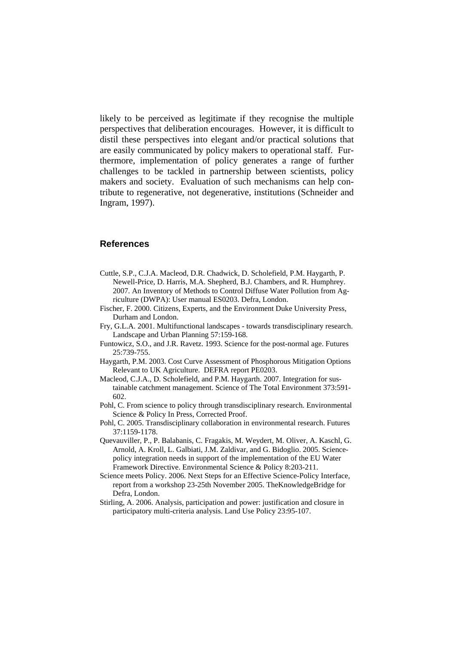likely to be perceived as legitimate if they recognise the multiple perspectives that deliberation encourages. However, it is difficult to distil these perspectives into elegant and/or practical solutions that are easily communicated by policy makers to operational staff. Furthermore, implementation of policy generates a range of further challenges to be tackled in partnership between scientists, policy makers and society. Evaluation of such mechanisms can help contribute to regenerative, not degenerative, institutions (Schneider and Ingram, 1997).

#### **References**

- Cuttle, S.P., C.J.A. Macleod, D.R. Chadwick, D. Scholefield, P.M. Haygarth, P. Newell-Price, D. Harris, M.A. Shepherd, B.J. Chambers, and R. Humphrey. 2007. An Inventory of Methods to Control Diffuse Water Pollution from Agriculture (DWPA): User manual ES0203. Defra, London.
- Fischer, F. 2000. Citizens, Experts, and the Environment Duke University Press, Durham and London.
- Fry, G.L.A. 2001. Multifunctional landscapes towards transdisciplinary research. Landscape and Urban Planning 57:159-168.
- Funtowicz, S.O., and J.R. Ravetz. 1993. Science for the post-normal age. Futures 25:739-755.
- Haygarth, P.M. 2003. Cost Curve Assessment of Phosphorous Mitigation Options Relevant to UK Agriculture. DEFRA report PE0203.
- Macleod, C.J.A., D. Scholefield, and P.M. Haygarth. 2007. Integration for sustainable catchment management. Science of The Total Environment 373:591- 602.
- Pohl, C. From science to policy through transdisciplinary research. Environmental Science & Policy In Press, Corrected Proof.
- Pohl, C. 2005. Transdisciplinary collaboration in environmental research. Futures 37:1159-1178.
- Quevauviller, P., P. Balabanis, C. Fragakis, M. Weydert, M. Oliver, A. Kaschl, G. Arnold, A. Kroll, L. Galbiati, J.M. Zaldivar, and G. Bidoglio. 2005. Sciencepolicy integration needs in support of the implementation of the EU Water Framework Directive. Environmental Science & Policy 8:203-211.
- Science meets Policy. 2006. Next Steps for an Effective Science-Policy Interface, report from a workshop 23-25th November 2005. TheKnowledgeBridge for Defra, London.
- Stirling, A. 2006. Analysis, participation and power: justification and closure in participatory multi-criteria analysis. Land Use Policy 23:95-107.